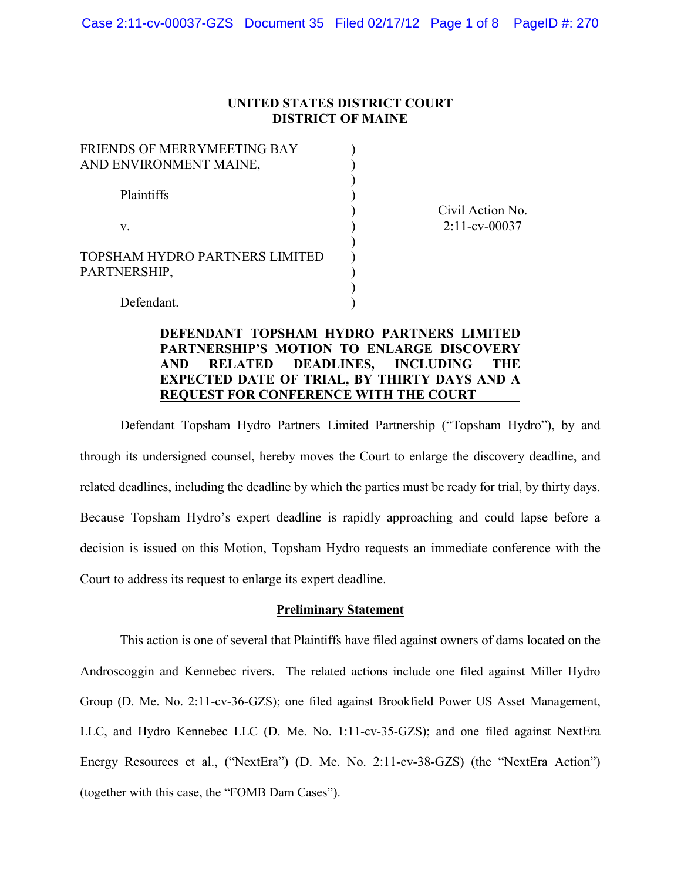### **UNITED STATES DISTRICT COURT DISTRICT OF MAINE**

) ) ) ) ) ) ) ) ) ) )

| FRIENDS OF MERRYMEETING BAY<br>AND ENVIRONMENT MAINE, |
|-------------------------------------------------------|
| <b>Plaintiffs</b>                                     |
| V                                                     |
| TOPSHAM HYDRO PARTNERS LIMITED<br>PARTNERSHIP,        |
| Defendant                                             |

Civil Action No. 2:11-cv-00037

Defendant.

## **DEFENDANT TOPSHAM HYDRO PARTNERS LIMITED PARTNERSHIP'S MOTION TO ENLARGE DISCOVERY AND RELATED DEADLINES, INCLUDING THE EXPECTED DATE OF TRIAL, BY THIRTY DAYS AND A REQUEST FOR CONFERENCE WITH THE COURT**

Defendant Topsham Hydro Partners Limited Partnership ("Topsham Hydro"), by and through its undersigned counsel, hereby moves the Court to enlarge the discovery deadline, and related deadlines, including the deadline by which the parties must be ready for trial, by thirty days. Because Topsham Hydro's expert deadline is rapidly approaching and could lapse before a decision is issued on this Motion, Topsham Hydro requests an immediate conference with the Court to address its request to enlarge its expert deadline.

### **Preliminary Statement**

This action is one of several that Plaintiffs have filed against owners of dams located on the Androscoggin and Kennebec rivers. The related actions include one filed against Miller Hydro Group (D. Me. No. 2:11-cv-36-GZS); one filed against Brookfield Power US Asset Management, LLC, and Hydro Kennebec LLC (D. Me. No. 1:11-cv-35-GZS); and one filed against NextEra Energy Resources et al., ("NextEra") (D. Me. No. 2:11-cv-38-GZS) (the "NextEra Action") (together with this case, the "FOMB Dam Cases").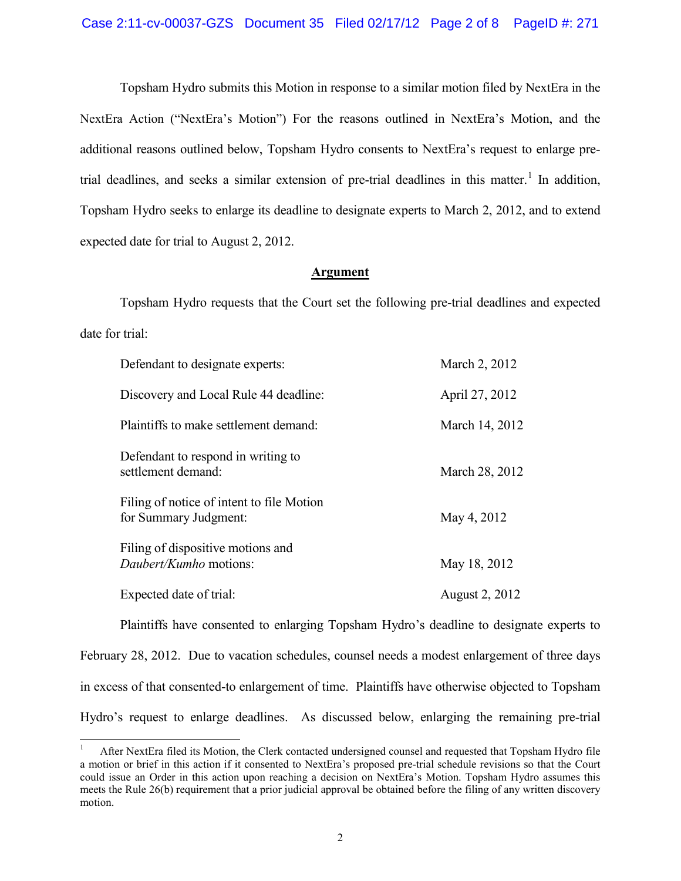Topsham Hydro submits this Motion in response to a similar motion filed by NextEra in the NextEra Action ("NextEra's Motion") For the reasons outlined in NextEra's Motion, and the additional reasons outlined below, Topsham Hydro consents to NextEra's request to enlarge pretrial deadlines, and seeks a similar extension of pre-trial deadlines in this matter.<sup>1</sup> In addition, Topsham Hydro seeks to enlarge its deadline to designate experts to March 2, 2012, and to extend expected date for trial to August 2, 2012.

### **Argument**

Topsham Hydro requests that the Court set the following pre-trial deadlines and expected date for trial:

| Defendant to designate experts:                                    | March 2, 2012         |
|--------------------------------------------------------------------|-----------------------|
| Discovery and Local Rule 44 deadline:                              | April 27, 2012        |
| Plaintiffs to make settlement demand:                              | March 14, 2012        |
| Defendant to respond in writing to<br>settlement demand:           | March 28, 2012        |
| Filing of notice of intent to file Motion<br>for Summary Judgment: | May 4, 2012           |
| Filing of dispositive motions and<br>Daubert/Kumho motions:        | May 18, 2012          |
| Expected date of trial:                                            | <b>August 2, 2012</b> |

Plaintiffs have consented to enlarging Topsham Hydro's deadline to designate experts to February 28, 2012. Due to vacation schedules, counsel needs a modest enlargement of three days in excess of that consented-to enlargement of time. Plaintiffs have otherwise objected to Topsham Hydro's request to enlarge deadlines. As discussed below, enlarging the remaining pre-trial

 <sup>1</sup> After NextEra filed its Motion, the Clerk contacted undersigned counsel and requested that Topsham Hydro file a motion or brief in this action if it consented to NextEra's proposed pre-trial schedule revisions so that the Court could issue an Order in this action upon reaching a decision on NextEra's Motion. Topsham Hydro assumes this meets the Rule 26(b) requirement that a prior judicial approval be obtained before the filing of any written discovery motion.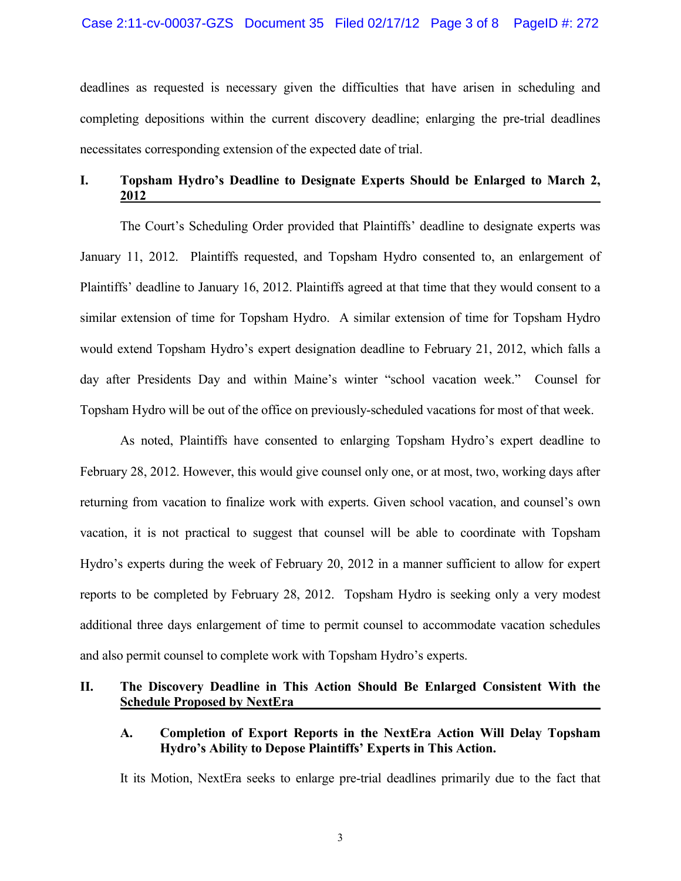### Case 2:11-cv-00037-GZS Document 35 Filed 02/17/12 Page 3 of 8 PageID #: 272

deadlines as requested is necessary given the difficulties that have arisen in scheduling and completing depositions within the current discovery deadline; enlarging the pre-trial deadlines necessitates corresponding extension of the expected date of trial.

# **I. Topsham Hydro's Deadline to Designate Experts Should be Enlarged to March 2, 2012**

The Court's Scheduling Order provided that Plaintiffs' deadline to designate experts was January 11, 2012. Plaintiffs requested, and Topsham Hydro consented to, an enlargement of Plaintiffs' deadline to January 16, 2012. Plaintiffs agreed at that time that they would consent to a similar extension of time for Topsham Hydro. A similar extension of time for Topsham Hydro would extend Topsham Hydro's expert designation deadline to February 21, 2012, which falls a day after Presidents Day and within Maine's winter "school vacation week." Counsel for Topsham Hydro will be out of the office on previously-scheduled vacations for most of that week.

As noted, Plaintiffs have consented to enlarging Topsham Hydro's expert deadline to February 28, 2012. However, this would give counsel only one, or at most, two, working days after returning from vacation to finalize work with experts. Given school vacation, and counsel's own vacation, it is not practical to suggest that counsel will be able to coordinate with Topsham Hydro's experts during the week of February 20, 2012 in a manner sufficient to allow for expert reports to be completed by February 28, 2012. Topsham Hydro is seeking only a very modest additional three days enlargement of time to permit counsel to accommodate vacation schedules and also permit counsel to complete work with Topsham Hydro's experts.

# **II. The Discovery Deadline in This Action Should Be Enlarged Consistent With the Schedule Proposed by NextEra**

### **A. Completion of Export Reports in the NextEra Action Will Delay Topsham Hydro's Ability to Depose Plaintiffs' Experts in This Action.**

It its Motion, NextEra seeks to enlarge pre-trial deadlines primarily due to the fact that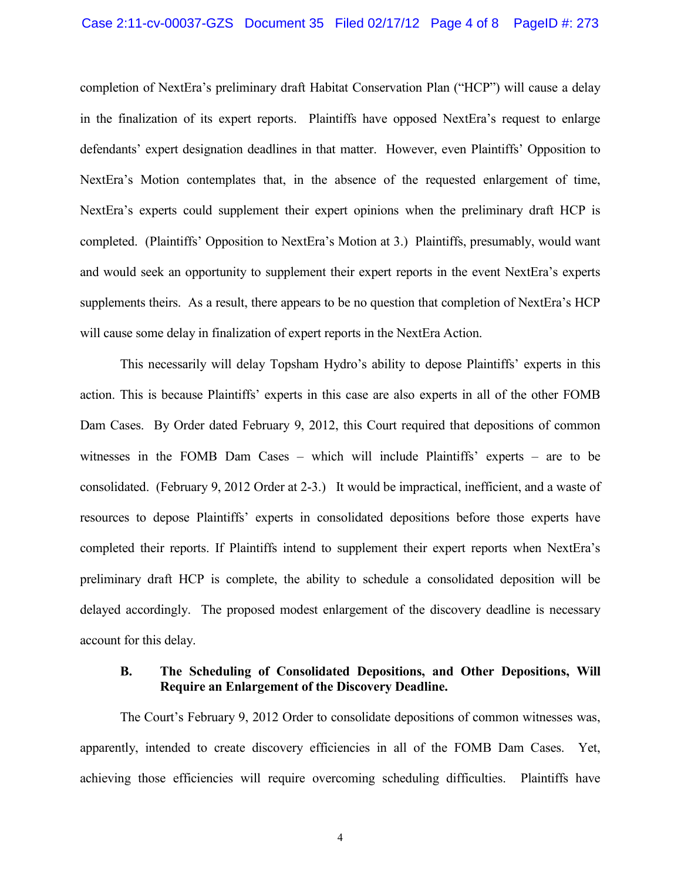#### Case 2:11-cv-00037-GZS Document 35 Filed 02/17/12 Page 4 of 8 PageID #: 273

completion of NextEra's preliminary draft Habitat Conservation Plan ("HCP") will cause a delay in the finalization of its expert reports. Plaintiffs have opposed NextEra's request to enlarge defendants' expert designation deadlines in that matter. However, even Plaintiffs' Opposition to NextEra's Motion contemplates that, in the absence of the requested enlargement of time, NextEra's experts could supplement their expert opinions when the preliminary draft HCP is completed. (Plaintiffs' Opposition to NextEra's Motion at 3.) Plaintiffs, presumably, would want and would seek an opportunity to supplement their expert reports in the event NextEra's experts supplements theirs. As a result, there appears to be no question that completion of NextEra's HCP will cause some delay in finalization of expert reports in the NextEra Action.

This necessarily will delay Topsham Hydro's ability to depose Plaintiffs' experts in this action. This is because Plaintiffs' experts in this case are also experts in all of the other FOMB Dam Cases. By Order dated February 9, 2012, this Court required that depositions of common witnesses in the FOMB Dam Cases – which will include Plaintiffs' experts – are to be consolidated. (February 9, 2012 Order at 2-3.) It would be impractical, inefficient, and a waste of resources to depose Plaintiffs' experts in consolidated depositions before those experts have completed their reports. If Plaintiffs intend to supplement their expert reports when NextEra's preliminary draft HCP is complete, the ability to schedule a consolidated deposition will be delayed accordingly. The proposed modest enlargement of the discovery deadline is necessary account for this delay.

### **B. The Scheduling of Consolidated Depositions, and Other Depositions, Will Require an Enlargement of the Discovery Deadline.**

The Court's February 9, 2012 Order to consolidate depositions of common witnesses was, apparently, intended to create discovery efficiencies in all of the FOMB Dam Cases. Yet, achieving those efficiencies will require overcoming scheduling difficulties. Plaintiffs have

4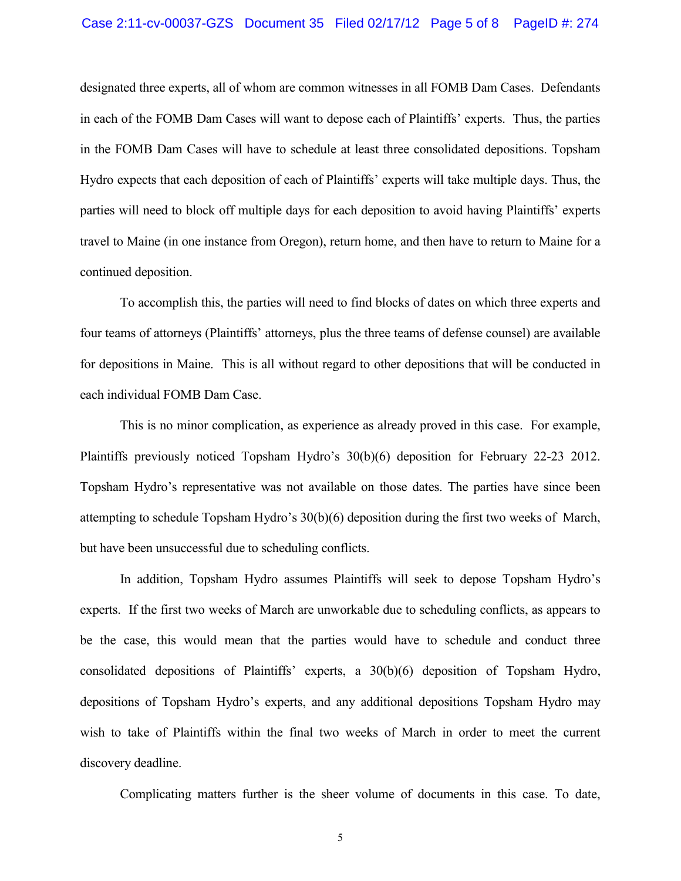#### Case 2:11-cv-00037-GZS Document 35 Filed 02/17/12 Page 5 of 8 PageID #: 274

designated three experts, all of whom are common witnesses in all FOMB Dam Cases. Defendants in each of the FOMB Dam Cases will want to depose each of Plaintiffs' experts. Thus, the parties in the FOMB Dam Cases will have to schedule at least three consolidated depositions. Topsham Hydro expects that each deposition of each of Plaintiffs' experts will take multiple days. Thus, the parties will need to block off multiple days for each deposition to avoid having Plaintiffs' experts travel to Maine (in one instance from Oregon), return home, and then have to return to Maine for a continued deposition.

To accomplish this, the parties will need to find blocks of dates on which three experts and four teams of attorneys (Plaintiffs' attorneys, plus the three teams of defense counsel) are available for depositions in Maine. This is all without regard to other depositions that will be conducted in each individual FOMB Dam Case.

This is no minor complication, as experience as already proved in this case. For example, Plaintiffs previously noticed Topsham Hydro's 30(b)(6) deposition for February 22-23 2012. Topsham Hydro's representative was not available on those dates. The parties have since been attempting to schedule Topsham Hydro's 30(b)(6) deposition during the first two weeks of March, but have been unsuccessful due to scheduling conflicts.

In addition, Topsham Hydro assumes Plaintiffs will seek to depose Topsham Hydro's experts. If the first two weeks of March are unworkable due to scheduling conflicts, as appears to be the case, this would mean that the parties would have to schedule and conduct three consolidated depositions of Plaintiffs' experts, a 30(b)(6) deposition of Topsham Hydro, depositions of Topsham Hydro's experts, and any additional depositions Topsham Hydro may wish to take of Plaintiffs within the final two weeks of March in order to meet the current discovery deadline.

Complicating matters further is the sheer volume of documents in this case. To date,

5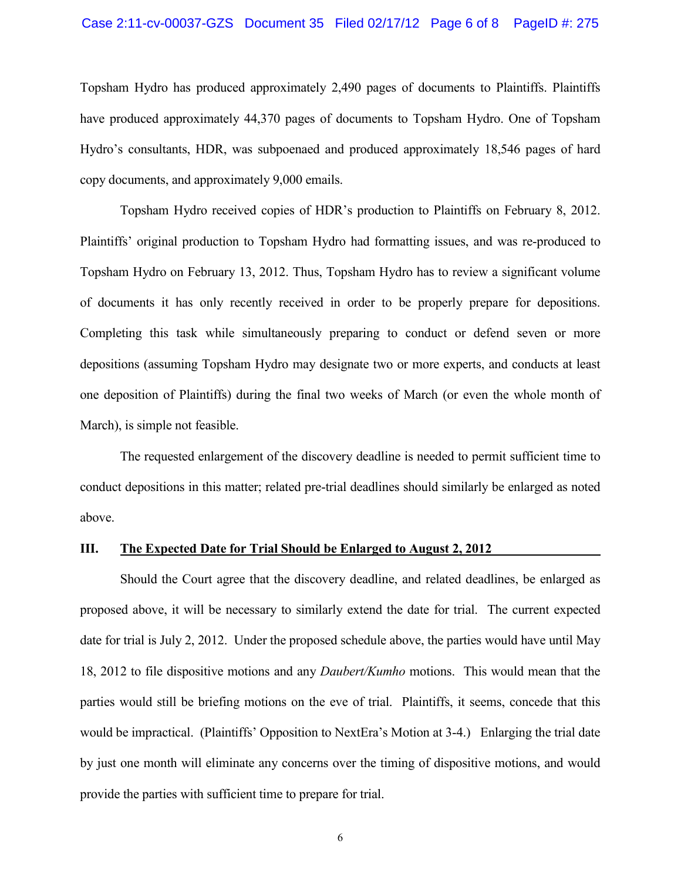#### Case 2:11-cv-00037-GZS Document 35 Filed 02/17/12 Page 6 of 8 PageID #: 275

Topsham Hydro has produced approximately 2,490 pages of documents to Plaintiffs. Plaintiffs have produced approximately 44,370 pages of documents to Topsham Hydro. One of Topsham Hydro's consultants, HDR, was subpoenaed and produced approximately 18,546 pages of hard copy documents, and approximately 9,000 emails.

Topsham Hydro received copies of HDR's production to Plaintiffs on February 8, 2012. Plaintiffs' original production to Topsham Hydro had formatting issues, and was re-produced to Topsham Hydro on February 13, 2012. Thus, Topsham Hydro has to review a significant volume of documents it has only recently received in order to be properly prepare for depositions. Completing this task while simultaneously preparing to conduct or defend seven or more depositions (assuming Topsham Hydro may designate two or more experts, and conducts at least one deposition of Plaintiffs) during the final two weeks of March (or even the whole month of March), is simple not feasible.

The requested enlargement of the discovery deadline is needed to permit sufficient time to conduct depositions in this matter; related pre-trial deadlines should similarly be enlarged as noted above.

#### **III. The Expected Date for Trial Should be Enlarged to August 2, 2012**

Should the Court agree that the discovery deadline, and related deadlines, be enlarged as proposed above, it will be necessary to similarly extend the date for trial. The current expected date for trial is July 2, 2012. Under the proposed schedule above, the parties would have until May 18, 2012 to file dispositive motions and any *Daubert/Kumho* motions. This would mean that the parties would still be briefing motions on the eve of trial. Plaintiffs, it seems, concede that this would be impractical. (Plaintiffs' Opposition to NextEra's Motion at 3-4.) Enlarging the trial date by just one month will eliminate any concerns over the timing of dispositive motions, and would provide the parties with sufficient time to prepare for trial.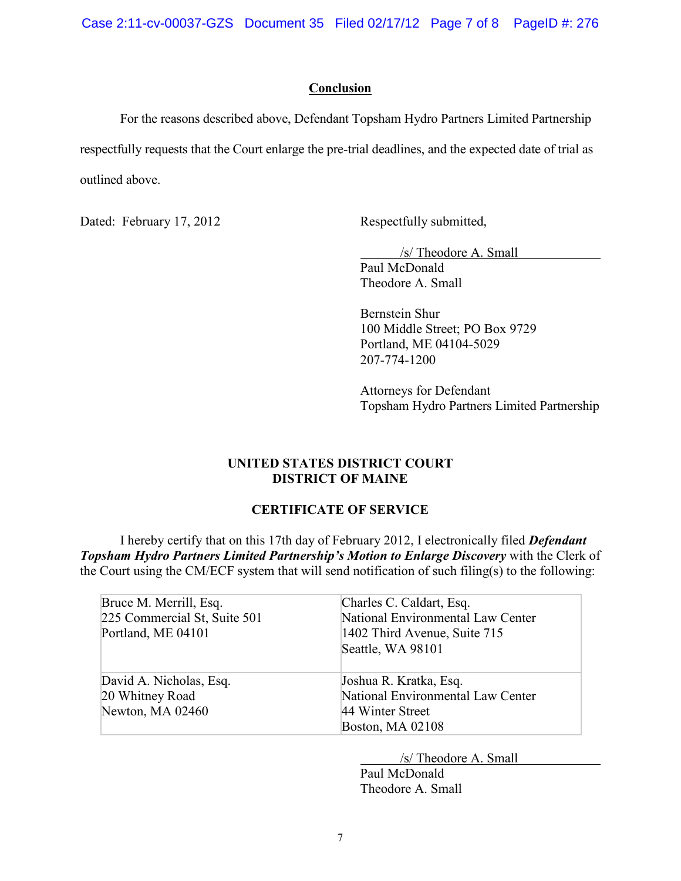Case 2:11-cv-00037-GZS Document 35 Filed 02/17/12 Page 7 of 8 PageID #: 276

### **Conclusion**

For the reasons described above, Defendant Topsham Hydro Partners Limited Partnership respectfully requests that the Court enlarge the pre-trial deadlines, and the expected date of trial as outlined above.

Dated: February 17, 2012 Respectfully submitted,

/s/ Theodore A. Small Paul McDonald Theodore A. Small

Bernstein Shur 100 Middle Street; PO Box 9729 Portland, ME 04104-5029 207-774-1200

Attorneys for Defendant Topsham Hydro Partners Limited Partnership

## **UNITED STATES DISTRICT COURT DISTRICT OF MAINE**

# **CERTIFICATE OF SERVICE**

I hereby certify that on this 17th day of February 2012, I electronically filed *Defendant Topsham Hydro Partners Limited Partnership's Motion to Enlarge Discovery* with the Clerk of the Court using the CM/ECF system that will send notification of such filing(s) to the following:

| Bruce M. Merrill, Esq.<br>225 Commercial St, Suite 501<br>Portland, ME 04101 | Charles C. Caldart, Esq.<br>National Environmental Law Center<br>1402 Third Avenue, Suite 715<br>Seattle, WA 98101 |
|------------------------------------------------------------------------------|--------------------------------------------------------------------------------------------------------------------|
| David A. Nicholas, Esq.<br>20 Whitney Road<br>Newton, MA 02460               | Joshua R. Kratka, Esq.<br>National Environmental Law Center<br>44 Winter Street<br><b>Boston, MA 02108</b>         |

/s/ Theodore A. Small

Paul McDonald Theodore A. Small